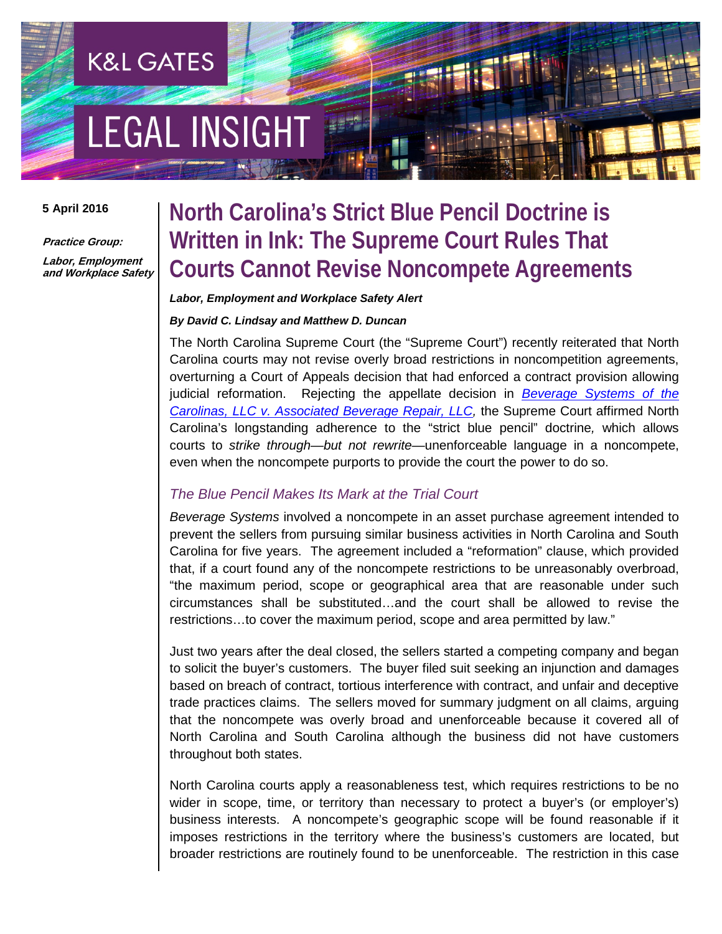# **LEGAL INSIGHT**

**K&L GATES** 

#### **5 April 2016**

**Practice Group: Labor, Employment and Workplace Safety**

### **North Carolina's Strict Blue Pencil Doctrine is Written in Ink: The Supreme Court Rules That Courts Cannot Revise Noncompete Agreements**

#### *Labor, Employment and Workplace Safety Alert*

#### *By David C. Lindsay and Matthew D. Duncan*

The North Carolina Supreme Court (the "Supreme Court") recently reiterated that North Carolina courts may not revise overly broad restrictions in noncompetition agreements, overturning a Court of Appeals decision that had enforced a contract provision allowing judicial reformation. Rejecting the appellate decision in *[Beverage Systems of the](https://appellate.nccourts.org/opinions/?c=1&pdf=34158)  [Carolinas, LLC v. Associated Beverage Repair, LLC,](https://appellate.nccourts.org/opinions/?c=1&pdf=34158)* the Supreme Court affirmed North Carolina's longstanding adherence to the "strict blue pencil" doctrine*,* which allows courts to *strike through—but not rewrite—*unenforceable language in a noncompete, even when the noncompete purports to provide the court the power to do so.

#### *The Blue Pencil Makes Its Mark at the Trial Court*

*Beverage Systems* involved a noncompete in an asset purchase agreement intended to prevent the sellers from pursuing similar business activities in North Carolina and South Carolina for five years. The agreement included a "reformation" clause, which provided that, if a court found any of the noncompete restrictions to be unreasonably overbroad, "the maximum period, scope or geographical area that are reasonable under such circumstances shall be substituted…and the court shall be allowed to revise the restrictions…to cover the maximum period, scope and area permitted by law."

Just two years after the deal closed, the sellers started a competing company and began to solicit the buyer's customers. The buyer filed suit seeking an injunction and damages based on breach of contract, tortious interference with contract, and unfair and deceptive trade practices claims. The sellers moved for summary judgment on all claims, arguing that the noncompete was overly broad and unenforceable because it covered all of North Carolina and South Carolina although the business did not have customers throughout both states.

North Carolina courts apply a reasonableness test, which requires restrictions to be no wider in scope, time, or territory than necessary to protect a buyer's (or employer's) business interests. A noncompete's geographic scope will be found reasonable if it imposes restrictions in the territory where the business's customers are located, but broader restrictions are routinely found to be unenforceable. The restriction in this case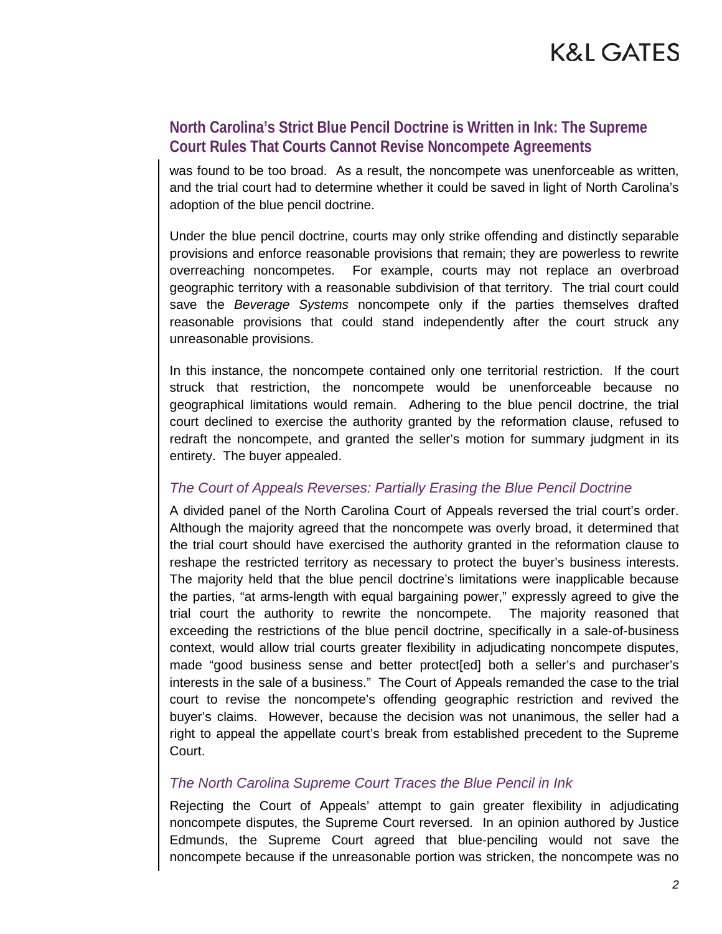### K&L GATES

#### **North Carolina's Strict Blue Pencil Doctrine is Written in Ink: The Supreme Court Rules That Courts Cannot Revise Noncompete Agreements**

was found to be too broad. As a result, the noncompete was unenforceable as written, and the trial court had to determine whether it could be saved in light of North Carolina's adoption of the blue pencil doctrine.

Under the blue pencil doctrine, courts may only strike offending and distinctly separable provisions and enforce reasonable provisions that remain; they are powerless to rewrite overreaching noncompetes. For example, courts may not replace an overbroad geographic territory with a reasonable subdivision of that territory. The trial court could save the *Beverage Systems* noncompete only if the parties themselves drafted reasonable provisions that could stand independently after the court struck any unreasonable provisions.

In this instance, the noncompete contained only one territorial restriction. If the court struck that restriction, the noncompete would be unenforceable because no geographical limitations would remain. Adhering to the blue pencil doctrine, the trial court declined to exercise the authority granted by the reformation clause, refused to redraft the noncompete, and granted the seller's motion for summary judgment in its entirety. The buyer appealed.

#### *The Court of Appeals Reverses: Partially Erasing the Blue Pencil Doctrine*

A divided panel of the North Carolina Court of Appeals reversed the trial court's order. Although the majority agreed that the noncompete was overly broad, it determined that the trial court should have exercised the authority granted in the reformation clause to reshape the restricted territory as necessary to protect the buyer's business interests. The majority held that the blue pencil doctrine's limitations were inapplicable because the parties, "at arms-length with equal bargaining power," expressly agreed to give the trial court the authority to rewrite the noncompete. The majority reasoned that exceeding the restrictions of the blue pencil doctrine, specifically in a sale-of-business context, would allow trial courts greater flexibility in adjudicating noncompete disputes, made "good business sense and better protect[ed] both a seller's and purchaser's interests in the sale of a business." The Court of Appeals remanded the case to the trial court to revise the noncompete's offending geographic restriction and revived the buyer's claims. However, because the decision was not unanimous, the seller had a right to appeal the appellate court's break from established precedent to the Supreme Court.

#### *The North Carolina Supreme Court Traces the Blue Pencil in Ink*

Rejecting the Court of Appeals' attempt to gain greater flexibility in adjudicating noncompete disputes, the Supreme Court reversed. In an opinion authored by Justice Edmunds, the Supreme Court agreed that blue-penciling would not save the noncompete because if the unreasonable portion was stricken, the noncompete was no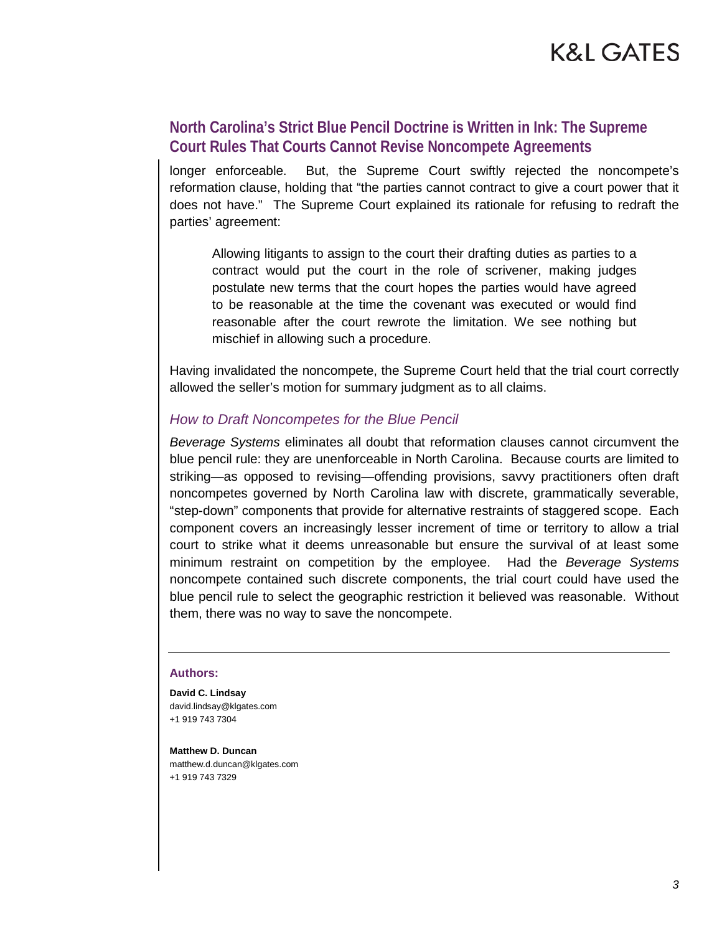### K&L GATES

#### **North Carolina's Strict Blue Pencil Doctrine is Written in Ink: The Supreme Court Rules That Courts Cannot Revise Noncompete Agreements**

longer enforceable. But, the Supreme Court swiftly rejected the noncompete's reformation clause, holding that "the parties cannot contract to give a court power that it does not have." The Supreme Court explained its rationale for refusing to redraft the parties' agreement:

Allowing litigants to assign to the court their drafting duties as parties to a contract would put the court in the role of scrivener, making judges postulate new terms that the court hopes the parties would have agreed to be reasonable at the time the covenant was executed or would find reasonable after the court rewrote the limitation. We see nothing but mischief in allowing such a procedure.

Having invalidated the noncompete, the Supreme Court held that the trial court correctly allowed the seller's motion for summary judgment as to all claims.

#### *How to Draft Noncompetes for the Blue Pencil*

*Beverage Systems* eliminates all doubt that reformation clauses cannot circumvent the blue pencil rule: they are unenforceable in North Carolina. Because courts are limited to striking—as opposed to revising—offending provisions, savvy practitioners often draft noncompetes governed by North Carolina law with discrete, grammatically severable, "step-down" components that provide for alternative restraints of staggered scope. Each component covers an increasingly lesser increment of time or territory to allow a trial court to strike what it deems unreasonable but ensure the survival of at least some minimum restraint on competition by the employee. Had the *Beverage Systems* noncompete contained such discrete components, the trial court could have used the blue pencil rule to select the geographic restriction it believed was reasonable. Without them, there was no way to save the noncompete.

#### **Authors:**

**David C. Lindsay** david.lindsay@klgates.com +1 919 743 7304

**Matthew D. Duncan** matthew.d.duncan@klgates.com +1 919 743 7329